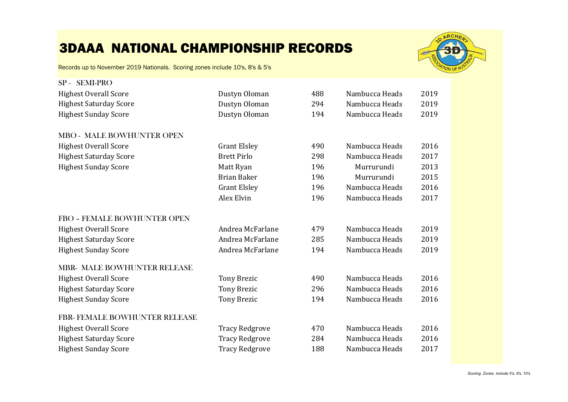

| SP-SEMI-PRO                        |                       |     |                |      |
|------------------------------------|-----------------------|-----|----------------|------|
| <b>Highest Overall Score</b>       | Dustyn Oloman         | 488 | Nambucca Heads | 2019 |
| <b>Highest Saturday Score</b>      | Dustyn Oloman         | 294 | Nambucca Heads | 2019 |
| <b>Highest Sunday Score</b>        | Dustyn Oloman         | 194 | Nambucca Heads | 2019 |
| MBO - MALE BOWHUNTER OPEN          |                       |     |                |      |
| <b>Highest Overall Score</b>       | <b>Grant Elsley</b>   | 490 | Nambucca Heads | 2016 |
| <b>Highest Saturday Score</b>      | <b>Brett Pirlo</b>    | 298 | Nambucca Heads | 2017 |
| <b>Highest Sunday Score</b>        | Matt Ryan             | 196 | Murrurundi     | 2013 |
|                                    | <b>Brian Baker</b>    | 196 | Murrurundi     | 2015 |
|                                    | <b>Grant Elsley</b>   | 196 | Nambucca Heads | 2016 |
|                                    | <b>Alex Elvin</b>     | 196 | Nambucca Heads | 2017 |
| FBO - FEMALE BOWHUNTER OPEN        |                       |     |                |      |
| <b>Highest Overall Score</b>       | Andrea McFarlane      | 479 | Nambucca Heads | 2019 |
| <b>Highest Saturday Score</b>      | Andrea McFarlane      | 285 | Nambucca Heads | 2019 |
| <b>Highest Sunday Score</b>        | Andrea McFarlane      | 194 | Nambucca Heads | 2019 |
| <b>MBR- MALE BOWHUNTER RELEASE</b> |                       |     |                |      |
| <b>Highest Overall Score</b>       | <b>Tony Brezic</b>    | 490 | Nambucca Heads | 2016 |
| <b>Highest Saturday Score</b>      | <b>Tony Brezic</b>    | 296 | Nambucca Heads | 2016 |
| <b>Highest Sunday Score</b>        | <b>Tony Brezic</b>    | 194 | Nambucca Heads | 2016 |
| FBR- FEMALE BOWHUNTER RELEASE      |                       |     |                |      |
| <b>Highest Overall Score</b>       | <b>Tracy Redgrove</b> | 470 | Nambucca Heads | 2016 |
| <b>Highest Saturday Score</b>      | <b>Tracy Redgrove</b> | 284 | Nambucca Heads | 2016 |
| <b>Highest Sunday Score</b>        | <b>Tracy Redgrove</b> | 188 | Nambucca Heads | 2017 |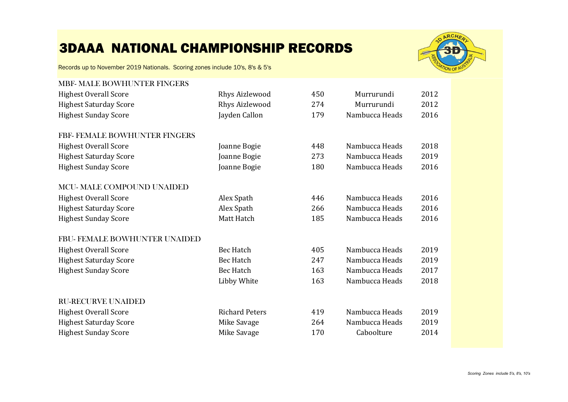

| <b>MBF- MALE BOWHUNTER FINGERS</b> |                       |     |                |      |
|------------------------------------|-----------------------|-----|----------------|------|
| <b>Highest Overall Score</b>       | Rhys Aizlewood        | 450 | Murrurundi     | 2012 |
| <b>Highest Saturday Score</b>      | <b>Rhys Aizlewood</b> | 274 | Murrurundi     | 2012 |
| <b>Highest Sunday Score</b>        | Jayden Callon         | 179 | Nambucca Heads | 2016 |
| FBF-FEMALE BOWHUNTER FINGERS       |                       |     |                |      |
| <b>Highest Overall Score</b>       | Joanne Bogie          | 448 | Nambucca Heads | 2018 |
| <b>Highest Saturday Score</b>      | Joanne Bogie          | 273 | Nambucca Heads | 2019 |
| <b>Highest Sunday Score</b>        | Joanne Bogie          | 180 | Nambucca Heads | 2016 |
| <b>MCU-MALE COMPOUND UNAIDED</b>   |                       |     |                |      |
| <b>Highest Overall Score</b>       | Alex Spath            | 446 | Nambucca Heads | 2016 |
| <b>Highest Saturday Score</b>      | Alex Spath            | 266 | Nambucca Heads | 2016 |
| <b>Highest Sunday Score</b>        | Matt Hatch            | 185 | Nambucca Heads | 2016 |
| FBU- FEMALE BOWHUNTER UNAIDED      |                       |     |                |      |
| <b>Highest Overall Score</b>       | <b>Bec Hatch</b>      | 405 | Nambucca Heads | 2019 |
| <b>Highest Saturday Score</b>      | <b>Bec Hatch</b>      | 247 | Nambucca Heads | 2019 |
| <b>Highest Sunday Score</b>        | <b>Bec Hatch</b>      | 163 | Nambucca Heads | 2017 |
|                                    | Libby White           | 163 | Nambucca Heads | 2018 |
| <b>RU-RECURVE UNAIDED</b>          |                       |     |                |      |
| <b>Highest Overall Score</b>       | <b>Richard Peters</b> | 419 | Nambucca Heads | 2019 |
| <b>Highest Saturday Score</b>      | Mike Savage           | 264 | Nambucca Heads | 2019 |
| <b>Highest Sunday Score</b>        | Mike Savage           | 170 | Caboolture     | 2014 |
|                                    |                       |     |                |      |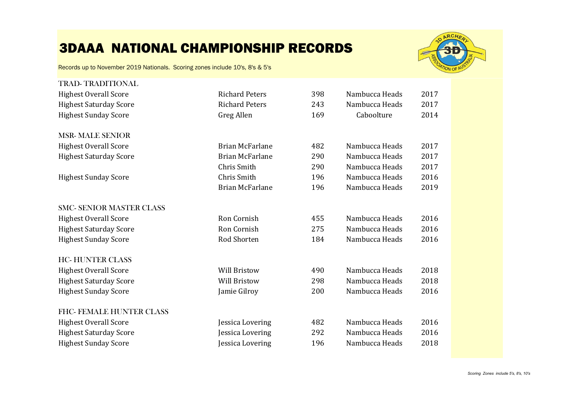

| <b>TRAD-TRADITIONAL</b>         |                        |     |                |      |
|---------------------------------|------------------------|-----|----------------|------|
| <b>Highest Overall Score</b>    | <b>Richard Peters</b>  | 398 | Nambucca Heads | 2017 |
| <b>Highest Saturday Score</b>   | <b>Richard Peters</b>  | 243 | Nambucca Heads | 2017 |
| <b>Highest Sunday Score</b>     | Greg Allen             | 169 | Caboolture     | 2014 |
| <b>MSR-MALE SENIOR</b>          |                        |     |                |      |
| <b>Highest Overall Score</b>    | <b>Brian McFarlane</b> | 482 | Nambucca Heads | 2017 |
| <b>Highest Saturday Score</b>   | Brian McFarlane        | 290 | Nambucca Heads | 2017 |
|                                 | Chris Smith            | 290 | Nambucca Heads | 2017 |
| <b>Highest Sunday Score</b>     | Chris Smith            | 196 | Nambucca Heads | 2016 |
|                                 | Brian McFarlane        | 196 | Nambucca Heads | 2019 |
| <b>SMC- SENIOR MASTER CLASS</b> |                        |     |                |      |
| <b>Highest Overall Score</b>    | Ron Cornish            | 455 | Nambucca Heads | 2016 |
| <b>Highest Saturday Score</b>   | Ron Cornish            | 275 | Nambucca Heads | 2016 |
| <b>Highest Sunday Score</b>     | Rod Shorten            | 184 | Nambucca Heads | 2016 |
| <b>HC-HUNTER CLASS</b>          |                        |     |                |      |
| <b>Highest Overall Score</b>    | <b>Will Bristow</b>    | 490 | Nambucca Heads | 2018 |
| <b>Highest Saturday Score</b>   | <b>Will Bristow</b>    | 298 | Nambucca Heads | 2018 |
| <b>Highest Sunday Score</b>     | Jamie Gilroy           | 200 | Nambucca Heads | 2016 |
| FHC-FEMALE HUNTER CLASS         |                        |     |                |      |
| <b>Highest Overall Score</b>    | Jessica Lovering       | 482 | Nambucca Heads | 2016 |
| <b>Highest Saturday Score</b>   | Jessica Lovering       | 292 | Nambucca Heads | 2016 |
| <b>Highest Sunday Score</b>     | Jessica Lovering       | 196 | Nambucca Heads | 2018 |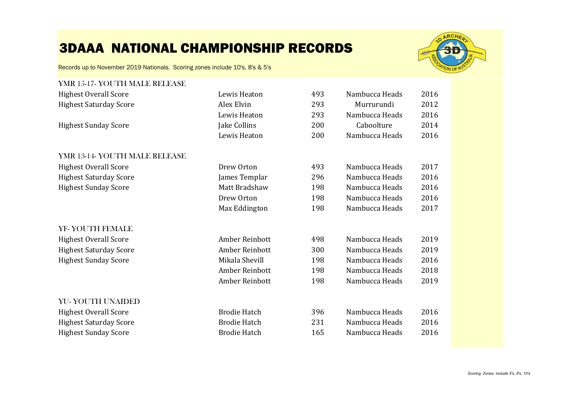

Records up to November 2019 Nationals. Scoring zones include 10's, 8's & 5's

#### YMR 15-17- YOUTH MALE RELEASE Highest Overall Score Lewis Heaton 493 Nambucca Heads 2016 Highest Saturday Score Alex Elvin 293 Murrurundi 2012 Lewis Heaton 293 Nambucca Heads<br>
Iake Collins 200 Caboolture Highest Sunday Score Jake Collins 200 Caboolture 2014 Lewis Heaton 200 Nambucca Heads YMR 13-14- YOUTH MALE RELEASE Highest Overall Score Drew Orton 493 Nambucca Heads 2017 Highest Saturday Score James Templar 296 Nambucca Heads 2016 Highest Sunday Score Matt Bradshaw 198 Nambucca Heads 2016 Drew Orton 198 Nambucca Heads 2016<br>Max Eddington 198 Nambucca Heads 2017 Max Eddington 198 Nambucca Heads YF- YOUTH FEMALE Highest Overall Score Amber Reinbott 498 Nambucca Heads 2019 Highest Saturday Score Amber Reinbott 300 Nambucca Heads 2019 Highest Sunday Score Mikala Shevill 198 Nambucca Heads 2016 Amber Reinbott 198 Nambucca Heads 2018<br>
Amber Reinbott 198 Nambucca Heads 2019 Amber Reinbott 198 Nambucca Heads YU- YOUTH UNAIDED Highest Overall Score Brodie Hatch 396 Nambucca Heads 2016 Highest Saturday Score Brodie Hatch 231 Nambucca Heads 2016 Highest Sunday Score